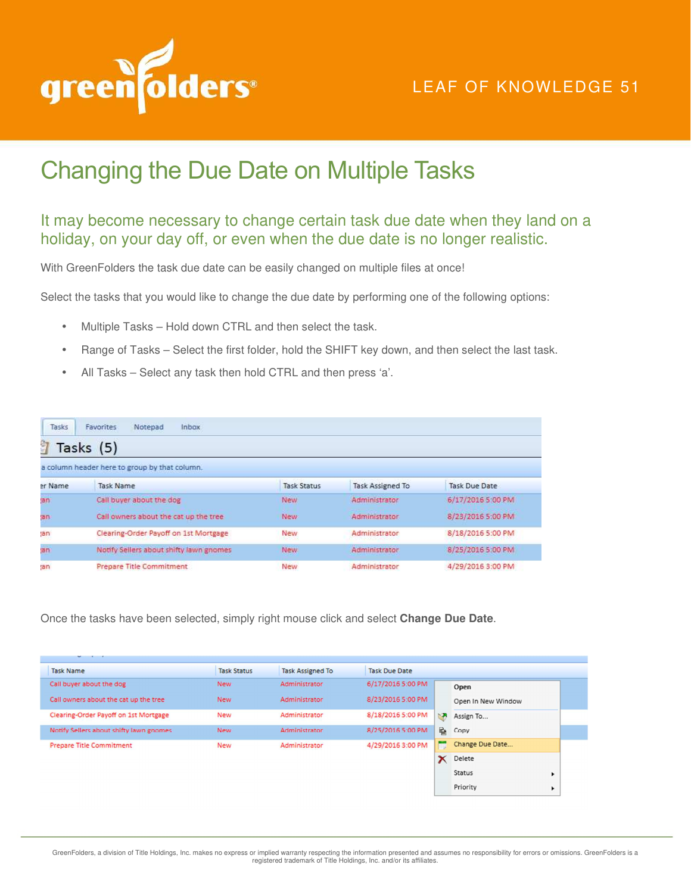

## LEAF OF KNOWLEDGE 51

## Changing the Due Date on Multiple Tasks

## It may become necessary to change certain task due date when they land on a holiday, on your day off, or even when the due date is no longer realistic.

With GreenFolders the task due date can be easily changed on multiple files at once!

Select the tasks that you would like to change the due date by performing one of the following options:

- Multiple Tasks Hold down CTRL and then select the task.
- Range of Tasks Select the first folder, hold the SHIFT key down, and then select the last task.
- All Tasks Select any task then hold CTRL and then press 'a'.

| Tasks                                         | <b>Inbox</b><br>Notepad<br><b>Favorites</b> |                    |                         |                   |  |  |  |  |
|-----------------------------------------------|---------------------------------------------|--------------------|-------------------------|-------------------|--|--|--|--|
| È<br>Tasks (5)                                |                                             |                    |                         |                   |  |  |  |  |
| a column header here to group by that column. |                                             |                    |                         |                   |  |  |  |  |
| er Name                                       | Task Name                                   | <b>Task Status</b> | <b>Task Assigned To</b> | Task Due Date     |  |  |  |  |
| an.                                           | Call buyer about the dog                    | New                | Administrator           | 6/17/2016 5:00 PM |  |  |  |  |
| (15)                                          | Call owners about the cat up the tree       | <b>New</b>         | Administrator           | 8/23/2016 5:00 PM |  |  |  |  |
| an                                            | Clearing-Order Payoff on 1st Mortgage       | New                | Administrator           | 8/18/2016 5:00 PM |  |  |  |  |
| an                                            | Notify Sellers about shifty lawn gnomes     | New.               | Administrator           | 8/25/2016 5:00 PM |  |  |  |  |
| :an                                           | Prepare Title Commitment                    | New                | Administrator           | 4/29/2016 3:00 PM |  |  |  |  |

Once the tasks have been selected, simply right mouse click and select **Change Due Date**.

| __                                      |                    |                         |                      |    |                    |   |
|-----------------------------------------|--------------------|-------------------------|----------------------|----|--------------------|---|
| <b>Task Name</b>                        | <b>Task Status</b> | <b>Task Assigned To</b> | <b>Task Due Date</b> |    |                    |   |
| Call buyer about the dog                | <b>New</b>         | Administrator           | 6/17/2016 5:00 PM    |    | Open               |   |
| Call owners about the cat up the tree   | <b>New</b>         | Administrator           | 8/23/2016 5:00 PM    |    | Open In New Window |   |
| Clearing-Order Payoff on 1st Mortgage   | <b>New</b>         | Administrator           | 8/18/2016 5:00 PM    | N. | Assign To          |   |
| Notify Sellers about shifty lawn gnomes | <b>New</b>         | Administrator           | 8/25/2016 5:00 PM    | 昏  | Copy               |   |
| <b>Prepare Title Commitment</b>         | <b>New</b>         | Administrator           | 4/29/2016 3:00 PM    |    | Change Due Date    |   |
|                                         |                    |                         |                      |    | Delete             |   |
|                                         |                    |                         |                      |    | Status             | ▶ |
|                                         |                    |                         |                      |    | Priority           |   |